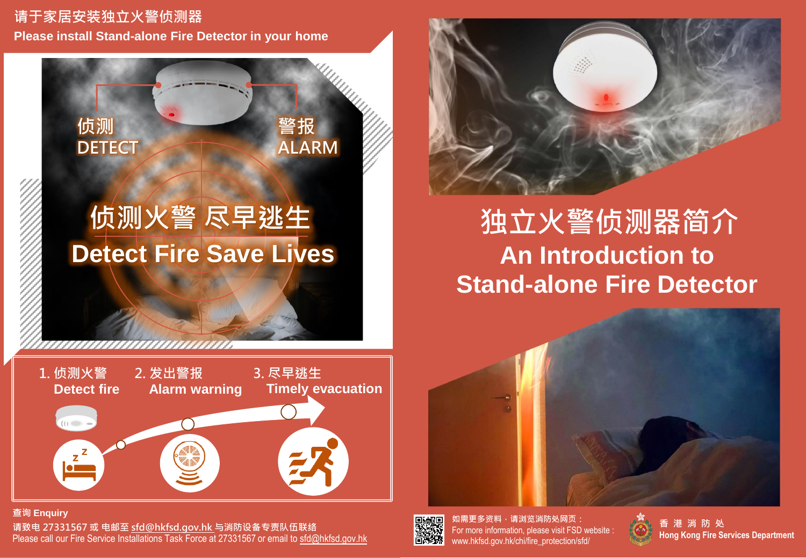#### **请于家居安装独立火警侦测器 Please install Stand-alone Fire Detector in your home**

**侦测**

**DETECT**

,,,,,,,,,,,,,,,,,,,,,,,,,,,,,,

# **侦测火警 尽早逃生 Detect Fire Save Lives**

**警报**

**ALARM**



**查询 Enquiry 请致电 27331567 或 电邮至 sfd@hkfsd.gov.hk 与消防设备专责队伍联络** Please call our Fire Service Installations Task Force at 27331567 or email to sfd@hkfsd.gov.hk



**如需更多资料,请浏览消防处网页:** For more information, please visit FSD website : www.hkfsd.gov.hk/chi/fire\_protection/sfd/





## **An Introduction to Stand-alone Fire Detector 独立火警侦测器简介**